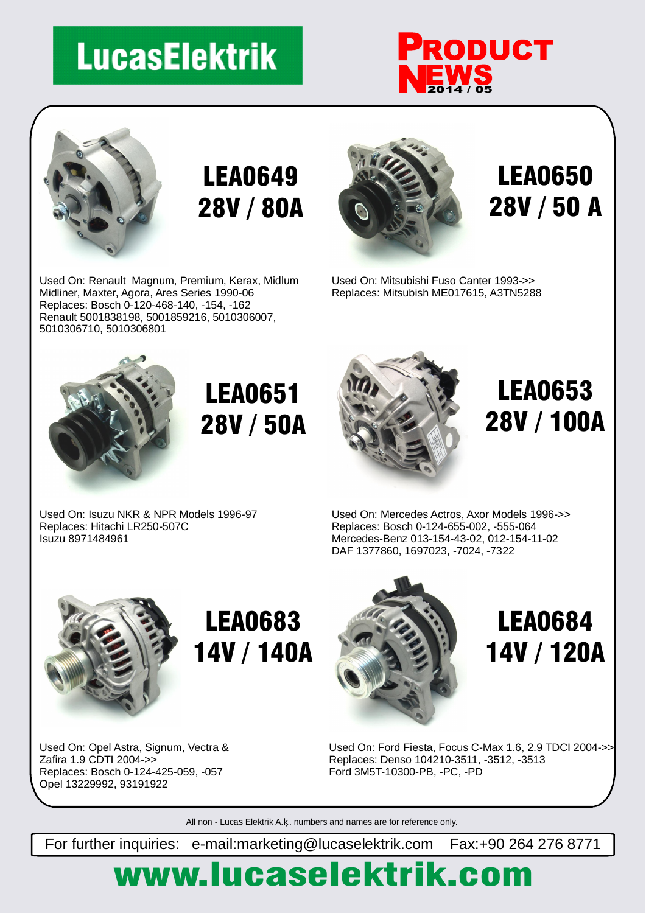# **LucasElektrik**





### LEA0649 28V / 80A

Used On: Renault Magnum, Premium, Kerax, Midlum Midliner, Maxter, Agora, Ares Series 1990-06 Replaces: Bosch 0-120-468-140, -154, -162 Renault 5001838198, 5001859216, 5010306007, 5010306710, 5010306801



#### LEA0650 28V / 50 A

Used On: Mitsubishi Fuso Canter 1993->> Replaces: Mitsubish ME017615, A3TN5288



## LEA0651 28V / 50A



### LEA0653 28V / 100A

Used On: Isuzu NKR & NPR Models 1996-97 Replaces: Hitachi LR250-507C Isuzu 8971484961

Used On: Mercedes Actros, Axor Models 1996->> Replaces: Bosch 0-124-655-002, -555-064 Mercedes-Benz 013-154-43-02, 012-154-11-02 DAF 1377860, 1697023, -7024, -7322



# LEA0683 14V / 140A



#### LEA0684 14V / 120A

Used On: Opel Astra, Signum, Vectra & Zafira 1.9 CDTI 2004->> Replaces: Bosch 0-124-425-059, -057 Opel 13229992, 93191922

Used On: Ford Fiesta, Focus C-Max 1.6, 2.9 TDCI 2004->> Replaces: Denso 104210-3511, -3512, -3513 Ford 3M5T-10300-PB, -PC, -PD

All non - Lucas Elektrik A. . numbers and names are for reference only.

For further inquiries: e-mail:marketing@lucaselektrik.com Fax:+90 264 276 8771

# www.lucaselektrik.com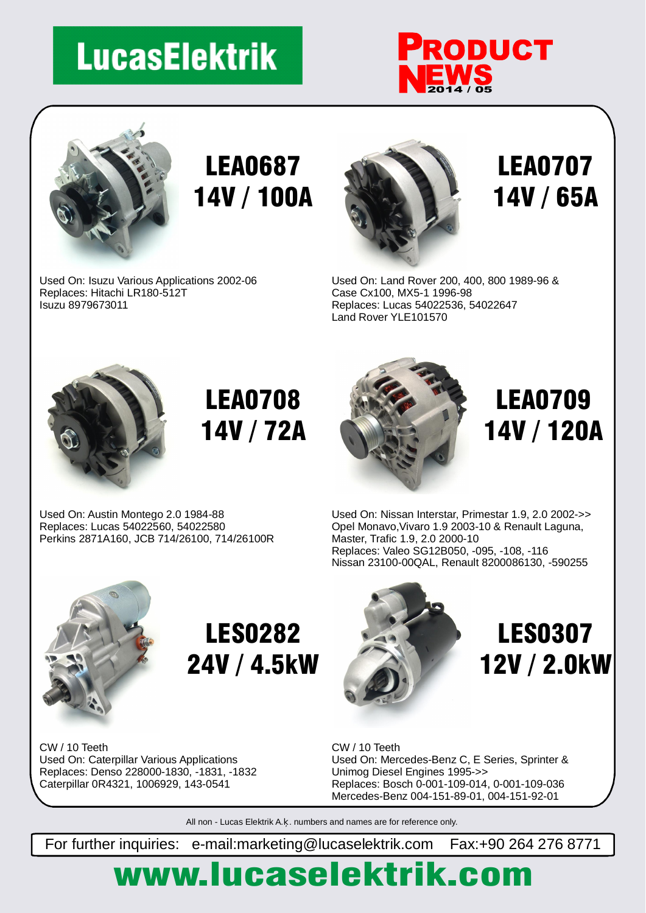# **LucasElektrik**





Replaces: Hitachi LR180-512T

Isuzu 8979673011

Used On: Isuzu Various Applications 2002-06

## LEA0687 14V / 100A



LEA0707 14V / 65A

Used On: Land Rover 200, 400, 800 1989-96 & Case Cx100, MX5-1 1996-98 Replaces: Lucas 54022536, 54022647 Land Rover YLE101570



### LEA0708 14V / 72A

Used On: Austin Montego 2.0 1984-88 Replaces: Lucas 54022560, 54022580 Perkins 2871A160, JCB 714/26100, 714/26100R



LEA0709 14V / 120A

Used On: Nissan Interstar, Primestar 1.9, 2.0 2002->> Opel Monavo,Vivaro 1.9 2003-10 & Renault Laguna, Master, Trafic 1.9, 2.0 2000-10 Replaces: Valeo SG12B050, -095, -108, -116 Nissan 23100-00QAL, Renault 8200086130, -590255



### LES0282 24V / 4.5kW

Used On: Caterpillar Various Applications Replaces: Denso 228000-1830, -1831, -1832 Caterpillar 0R4321, 1006929, 143-0541 CW / 10 Teeth



#### LES0307 12V / 2.0kW

Used On: Mercedes-Benz C, E Series, Sprinter & Unimog Diesel Engines 1995->> Replaces: Bosch 0-001-109-014, 0-001-109-036 Mercedes-Benz 004-151-89-01, 004-151-92-01 CW / 10 Teeth

All non - Lucas Elektrik A. . numbers and names are for reference only.

For further inquiries: e-mail:marketing@lucaselektrik.com Fax:+90 264 276 8771

# www.lucaselektrik.com